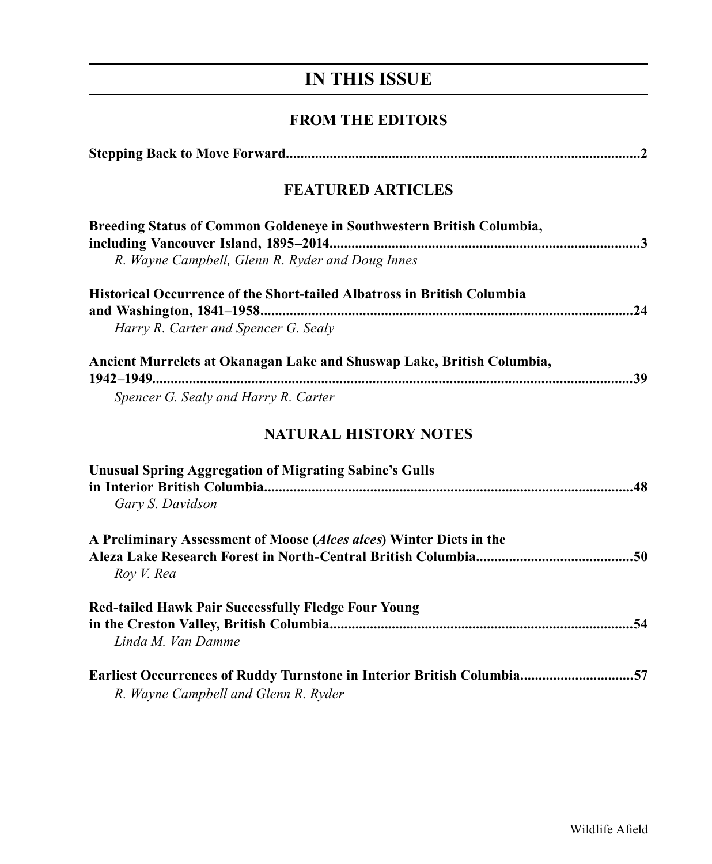# **IN THIS ISSUE**

## **FROM THE EDITORS**

| <b>FEATURED ARTICLES</b>                                                                                       |  |  |
|----------------------------------------------------------------------------------------------------------------|--|--|
| Breeding Status of Common Goldeneye in Southwestern British Columbia,                                          |  |  |
| R. Wayne Campbell, Glenn R. Ryder and Doug Innes                                                               |  |  |
| Historical Occurrence of the Short-tailed Albatross in British Columbia                                        |  |  |
| Harry R. Carter and Spencer G. Sealy                                                                           |  |  |
| Ancient Murrelets at Okanagan Lake and Shuswap Lake, British Columbia,                                         |  |  |
| Spencer G. Sealy and Harry R. Carter                                                                           |  |  |
| <b>NATURAL HISTORY NOTES</b>                                                                                   |  |  |
| <b>Unusual Spring Aggregation of Migrating Sabine's Gulls</b><br>Gary S. Davidson                              |  |  |
| A Preliminary Assessment of Moose (Alces alces) Winter Diets in the<br>Roy V. Rea                              |  |  |
| Red-tailed Hawk Pair Successfully Fledge Four Young<br>Linda M. Van Damme                                      |  |  |
| Earliest Occurrences of Ruddy Turnstone in Interior British Columbia57<br>R. Wayne Campbell and Glenn R. Ryder |  |  |